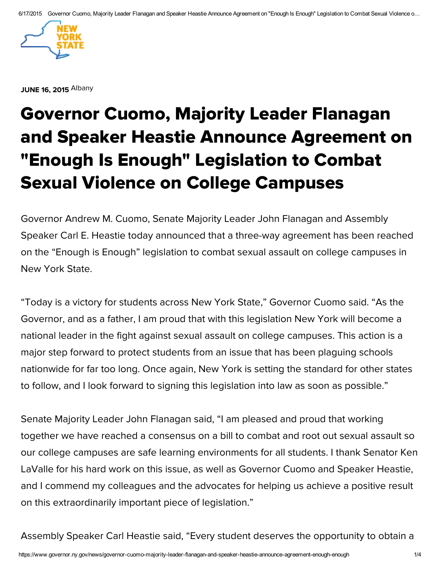

**JUNE 16, [2015](javascript:void(0)) [Albany](javascript:void(0))** 

## [Governor](javascript:void(0)) [Cuomo,](javascript:void(0)) [Majori](javascript:void(0))ty [Leader](javascript:void(0)) [Flanagan](javascript:void(0)) and [Spea](javascript:void(0))ker [Heas](javascript:void(0))tie [Announc](javascript:void(0))e [Agreement](javascript:void(0)) [on](javascript:void(0)) ["Enough](javascript:void(0)) Is [Enoug](javascript:void(0))h" [Legislatio](javascript:void(0))n [to](javascript:void(0)) [Combat](javascript:void(0)) Sexual Violence on College Campuses

Governor Andrew M. Cuomo, Senate Majority Leader John Flanagan and Assembly Speaker Carl E. Heastie today announced that a three-way agreement has been reached on the "Enough is Enough" legislation to combat sexual assault on college campuses in New York State.

"Today is a victory for students across New York State," Governor Cuomo said. "As the Governor, and as a father, I am proud that with this legislation New York will become a national leader in the fight against sexual assault on college campuses. This action is a major step forward to protect students from an issue that has been plaguing schools nationwide for far too long. Once again, New York is setting the standard for other states to follow, and I look forward to signing this legislation into law as soon as possible."

Senate Majority Leader John Flanagan said, "I am pleased and proud that working together we have reached a consensus on a bill to combat and root out sexual assault so our college campuses are safe learning environments for all students. I thank Senator Ken LaValle for his hard work on this issue, as well as Governor Cuomo and Speaker Heastie, and I commend my colleagues and the advocates for helping us achieve a positive result on this extraordinarily important piece of legislation."

Assembly Speaker Carl Heastie said, "Every student deserves the opportunity to obtain a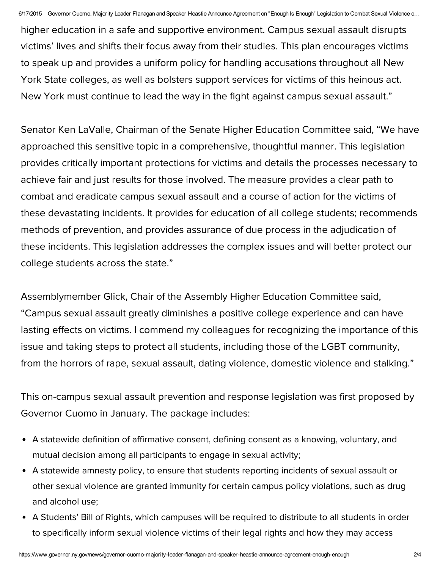higher education in a safe and supportive environment. Campus sexual assault disrupts victims' lives and shifts their focus away from their studies. This plan encourages victims to speak up and provides a uniform policy for handling accusations throughout all New York State colleges, as well as bolsters support services for victims of this heinous act. New York must continue to lead the way in the fight against campus sexual assault."

Senator Ken LaValle, Chairman of the Senate Higher Education Committee said, "We have approached this sensitive topic in a comprehensive, thoughtful manner. This legislation provides critically important protections for victims and details the processes necessary to achieve fair and just results for those involved. The measure provides a clear path to combat and eradicate campus sexual assault and a course of action for the victims of these devastating incidents. It provides for education of all college students; recommends methods of prevention, and provides assurance of due process in the adjudication of these incidents. This legislation addresses the complex issues and will better protect our college students across the state."

Assemblymember Glick, Chair of the Assembly Higher Education Committee said, "Campus sexual assault greatly diminishes a positive college experience and can have lasting effects on victims. I commend my colleagues for recognizing the importance of this issue and taking steps to protect all students, including those of the LGBT community, from the horrors of rape, sexual assault, dating violence, domestic violence and stalking."

This on-campus sexual assault prevention and response legislation was first proposed by Governor Cuomo in January. The package includes:

- A statewide definition of affirmative consent, defining consent as a knowing, voluntary, and mutual decision among all participants to engage in sexual activity;
- A statewide amnesty policy, to ensure that students reporting incidents of sexual assault or other sexual violence are granted immunity for certain campus policy violations, such as drug and alcohol use;
- A Students' Bill of Rights, which campuses will be required to distribute to all students in order to specifically inform sexual violence victims of their legal rights and how they may access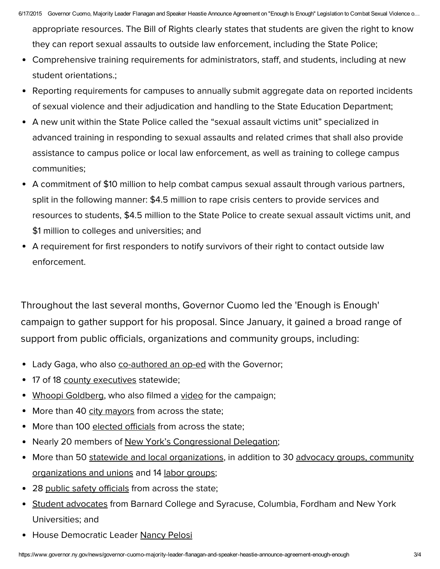appropriate resources. The Bill of Rights clearly states that students are given the right to know they can report sexual assaults to outside law enforcement, including the State Police;

- Comprehensive training requirements for administrators, staff, and students, including at new student orientations.;
- Reporting requirements for campuses to annually submit aggregate data on reported incidents of sexual violence and their adjudication and handling to the State Education Department;
- A new unit within the State Police called the "sexual assault victims unit" specialized in advanced training in responding to sexual assaults and related crimes that shall also provide assistance to campus police or local law enforcement, as well as training to college campus communities;
- A commitment of \$10 million to help combat campus sexual assault through various partners, split in the following manner: \$4.5 million to rape crisis centers to provide services and resources to students, \$4.5 million to the State Police to create sexual assault victims unit, and \$1 million to colleges and universities; and
- A requirement for first responders to notify survivors of their right to contact outside law enforcement.

Throughout the last several months, Governor Cuomo led the 'Enough is Enough' campaign to gather support for his proposal. Since January, it gained a broad range of support from public officials, organizations and community groups, including:

- Lady Gaga, who also [co-authored](http://www.governor.ny.gov/news/icymi-lady-gaga-enough-enough-time-take-stand-against-sexual-assault-college-campuses) an op-ed with the Governor;
- 17 of 18 county [executives](http://www.governor.ny.gov/news/county-executives-statewide-join-governor-cuomo-s-enough-enough-campaign-combat-sexual-assault) statewide;
- Whoopi [Goldberg,](http://www.governor.ny.gov/news/whoopi-goldberg-joins-enough-enough-campaign-combat-sexual-assault-college-campuses) who also filmed a [video](https://www.youtube.com/watch?v=mTrxG65vvCA&feature=youtu.be) for the campaign;
- More than 40 city [mayors](http://www.governor.ny.gov/news/city-mayors-across-state-join-governor-cuomos-enough-enough-campaign-combat-sexual-assault) from across the state;
- More than 100 [elected](http://www.governor.ny.gov/news/more-100-elected-officials-across-state-join-governor-cuomos-enough-enough-campaign) officials from across the state;  $\bullet$
- Nearly 20 members of New York's [Congressional](http://www.governor.ny.gov/news/members-new-york-congressional-delegation-join-governor-cuomo-s-enough-enough-campaign) Delegation;
- More than 50 statewide and local [organizations,](https://www.governor.ny.gov/news/governor-cuomo-announces-30-additional-groups-including-end-rape-campus-join-support-enough) in addition to 30 advocacy groups, community organizations and unions and 14 labor [groups;](http://www.governor.ny.gov/news/governor-cuomo-announces-1199-seiu-htc-among-14-additional-labor-groups-support-enough-enough)
- 28 public safety [officials](http://www.governor.ny.gov/news/public-safety-officials-across-state-join-governor-cuomo-s-enough-enough-campaign) from across the state;
- Student [advocates](http://www.governor.ny.gov/news/student-advocates-join-governor-cuomo-s-enough-enough-campaign-combat-sexual-assault-college) from Barnard College and Syracuse, Columbia, Fordham and New York Universities; and
- House Democratic Leader [Nancy](http://www.governor.ny.gov/news/governor-cuomo-announces-house-representatives-democratic-leader-nancy-pelosi-joins-enough) Pelosi